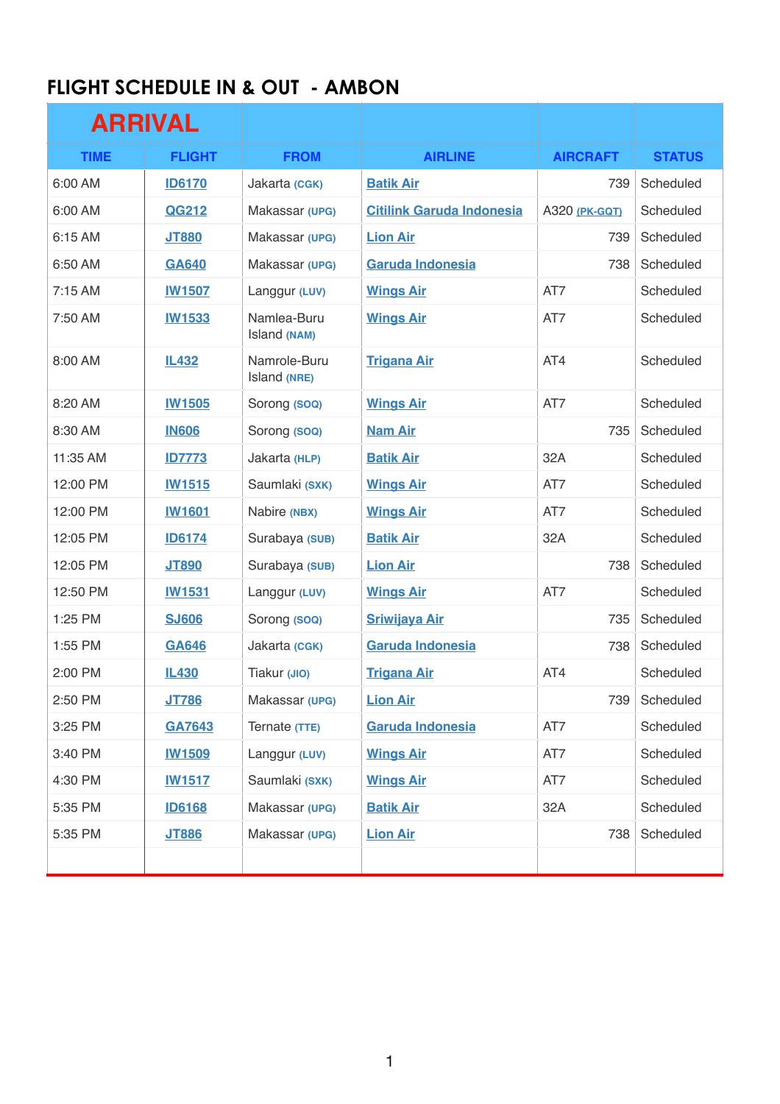## **FLIGHT SCHEDULE IN & OUT - AMBON**

| <b>ARRIVAL</b> |               |                              |                                  |                 |                  |
|----------------|---------------|------------------------------|----------------------------------|-----------------|------------------|
| <b>TIME</b>    | <b>FLIGHT</b> | <b>FROM</b>                  | <b>AIRLINE</b>                   | <b>AIRCRAFT</b> | <b>STATUS</b>    |
| 6:00 AM        | <b>ID6170</b> | Jakarta (CGK)                | <b>Batik Air</b>                 | 739             | <b>Scheduled</b> |
| 6:00 AM        | QG212         | Makassar (UPG)               | <b>Citilink Garuda Indonesia</b> | A320 (PK-GQT)   | Scheduled        |
| 6:15 AM        | <b>JT880</b>  | Makassar (UPG)               | <b>Lion Air</b>                  | 739             | Scheduled        |
| 6:50 AM        | <b>GA640</b>  | Makassar (UPG)               | Garuda Indonesia                 | 738             | Scheduled        |
| 7:15AM         | <b>IW1507</b> | Langgur (LUV)                | <b>Wings Air</b>                 | AT7             | <b>Scheduled</b> |
| 7:50 AM        | <b>IW1533</b> | Namlea-Buru<br>Island (NAM)  | <b>Wings Air</b>                 | AT7             | <b>Scheduled</b> |
| 8:00 AM        | <b>IL432</b>  | Namrole-Buru<br>Island (NRE) | <b>Trigana Air</b>               | AT4             | <b>Scheduled</b> |
| 8:20 AM        | <b>IW1505</b> | Sorong (soa)                 | <b>Wings Air</b>                 | AT7             | <b>Scheduled</b> |
| 8:30 AM        | <b>IN606</b>  | Sorong (soo)                 | <b>Nam Air</b>                   | 735             | <b>Scheduled</b> |
| 11:35 AM       | <b>ID7773</b> | Jakarta (HLP)                | <b>Batik Air</b>                 | 32A             | <b>Scheduled</b> |
| 12:00 PM       | <b>IW1515</b> | Saumlaki (SXK)               | <b>Wings Air</b>                 | AT7             | <b>Scheduled</b> |
| 12:00 PM       | <b>IW1601</b> | Nabire (NBX)                 | <b>Wings Air</b>                 | AT7             | <b>Scheduled</b> |
| 12:05 PM       | <b>ID6174</b> | Surabaya (SUB)               | <b>Batik Air</b>                 | 32A             | <b>Scheduled</b> |
| 12:05 PM       | <b>JT890</b>  | Surabaya (SUB)               | <b>Lion Air</b>                  | 738             | <b>Scheduled</b> |
| 12:50 PM       | <b>IW1531</b> | Langgur (LUV)                | <b>Wings Air</b>                 | AT7             | <b>Scheduled</b> |
| 1:25 PM        | <b>SJ606</b>  | Sorong (soo)                 | <b>Sriwijaya Air</b>             | 735             | <b>Scheduled</b> |
| 1:55 PM        | <b>GA646</b>  | Jakarta (CGK)                | Garuda Indonesia                 | 738             | <b>Scheduled</b> |
| 2:00 PM        | <b>IL430</b>  | Tiakur (JIO)                 | <b>Trigana Air</b>               | AT4             | <b>Scheduled</b> |
| 2:50 PM        | <b>JT786</b>  | Makassar (UPG)               | <b>Lion Air</b>                  | 739             | <b>Scheduled</b> |
| 3:25 PM        | <b>GA7643</b> | Ternate (TTE)                | Garuda Indonesia                 | AT7             | <b>Scheduled</b> |
| 3:40 PM        | <b>IW1509</b> | Langgur (LUV)                | <b>Wings Air</b>                 | AT7             | <b>Scheduled</b> |
| 4:30 PM        | <b>IW1517</b> | Saumlaki (SXK)               | <b>Wings Air</b>                 | AT7             | <b>Scheduled</b> |
| 5:35 PM        | <b>ID6168</b> | Makassar (UPG)               | <b>Batik Air</b>                 | 32A             | <b>Scheduled</b> |
| 5:35 PM        | <b>JT886</b>  | Makassar (UPG)               | <b>Lion Air</b>                  | 738             | <b>Scheduled</b> |
|                |               |                              |                                  |                 |                  |